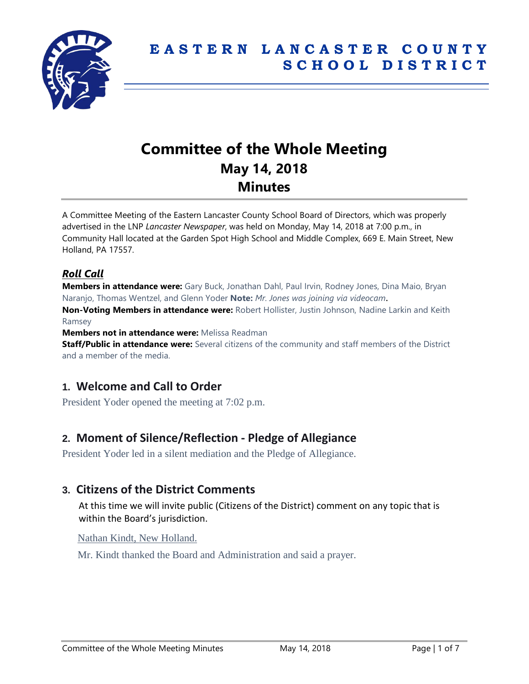

# **Committee of the Whole Meeting May 14, 2018 Minutes**

A Committee Meeting of the Eastern Lancaster County School Board of Directors, which was properly advertised in the LNP *Lancaster Newspaper*, was held on Monday, May 14, 2018 at 7:00 p.m., in Community Hall located at the Garden Spot High School and Middle Complex, 669 E. Main Street, New Holland, PA 17557.

## *Roll Call*

**Members in attendance were:** Gary Buck, Jonathan Dahl, Paul Irvin, Rodney Jones, Dina Maio, Bryan Naranjo, Thomas Wentzel, and Glenn Yoder **Note:** *Mr. Jones was joining via videocam*.

**Non-Voting Members in attendance were:** Robert Hollister, Justin Johnson, Nadine Larkin and Keith Ramsey

**Members not in attendance were:** Melissa Readman

**Staff/Public in attendance were:** Several citizens of the community and staff members of the District and a member of the media.

## **1. Welcome and Call to Order**

President Yoder opened the meeting at 7:02 p.m.

## **2. Moment of Silence/Reflection - Pledge of Allegiance**

President Yoder led in a silent mediation and the Pledge of Allegiance.

## **3. Citizens of the District Comments**

At this time we will invite public (Citizens of the District) comment on any topic that is within the Board's jurisdiction.

Nathan Kindt, New Holland.

Mr. Kindt thanked the Board and Administration and said a prayer.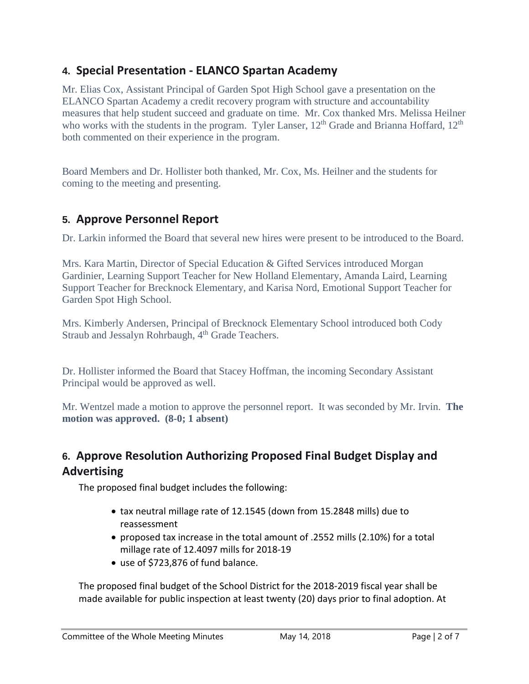## **4. Special Presentation - ELANCO Spartan Academy**

Mr. Elias Cox, Assistant Principal of Garden Spot High School gave a presentation on the ELANCO Spartan Academy a credit recovery program with structure and accountability measures that help student succeed and graduate on time. Mr. Cox thanked Mrs. Melissa Heilner who works with the students in the program. Tyler Lanser,  $12<sup>th</sup>$  Grade and Brianna Hoffard,  $12<sup>th</sup>$ both commented on their experience in the program.

Board Members and Dr. Hollister both thanked, Mr. Cox, Ms. Heilner and the students for coming to the meeting and presenting.

## **5. Approve Personnel Report**

Dr. Larkin informed the Board that several new hires were present to be introduced to the Board.

Mrs. Kara Martin, Director of Special Education & Gifted Services introduced Morgan Gardinier, Learning Support Teacher for New Holland Elementary, Amanda Laird, Learning Support Teacher for Brecknock Elementary, and Karisa Nord, Emotional Support Teacher for Garden Spot High School.

Mrs. Kimberly Andersen, Principal of Brecknock Elementary School introduced both Cody Straub and Jessalyn Rohrbaugh, 4<sup>th</sup> Grade Teachers.

Dr. Hollister informed the Board that Stacey Hoffman, the incoming Secondary Assistant Principal would be approved as well.

Mr. Wentzel made a motion to approve the personnel report. It was seconded by Mr. Irvin. **The motion was approved. (8-0; 1 absent)**

## **6. Approve Resolution Authorizing Proposed Final Budget Display and Advertising**

The proposed final budget includes the following:

- tax neutral millage rate of 12.1545 (down from 15.2848 mills) due to reassessment
- proposed tax increase in the total amount of .2552 mills (2.10%) for a total millage rate of 12.4097 mills for 2018-19
- use of \$723,876 of fund balance.

The proposed final budget of the School District for the 2018-2019 fiscal year shall be made available for public inspection at least twenty (20) days prior to final adoption. At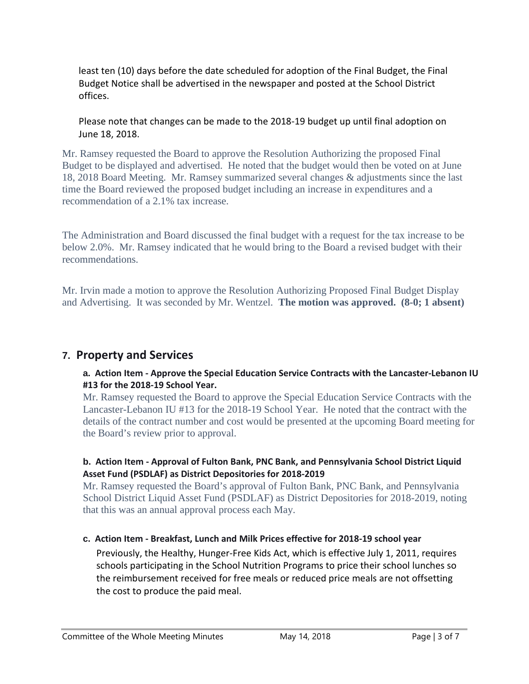least ten (10) days before the date scheduled for adoption of the Final Budget, the Final Budget Notice shall be advertised in the newspaper and posted at the School District offices.

Please note that changes can be made to the 2018-19 budget up until final adoption on June 18, 2018.

Mr. Ramsey requested the Board to approve the Resolution Authorizing the proposed Final Budget to be displayed and advertised. He noted that the budget would then be voted on at June 18, 2018 Board Meeting. Mr. Ramsey summarized several changes & adjustments since the last time the Board reviewed the proposed budget including an increase in expenditures and a recommendation of a 2.1% tax increase.

The Administration and Board discussed the final budget with a request for the tax increase to be below 2.0%. Mr. Ramsey indicated that he would bring to the Board a revised budget with their recommendations.

Mr. Irvin made a motion to approve the Resolution Authorizing Proposed Final Budget Display and Advertising. It was seconded by Mr. Wentzel. **The motion was approved. (8-0; 1 absent)**

## **7. Property and Services**

## **a. Action Item - Approve the Special Education Service Contracts with the Lancaster-Lebanon IU #13 for the 2018-19 School Year.**

Mr. Ramsey requested the Board to approve the Special Education Service Contracts with the Lancaster-Lebanon IU #13 for the 2018-19 School Year. He noted that the contract with the details of the contract number and cost would be presented at the upcoming Board meeting for the Board's review prior to approval.

## **b. Action Item - Approval of Fulton Bank, PNC Bank, and Pennsylvania School District Liquid Asset Fund (PSDLAF) as District Depositories for 2018-2019**

Mr. Ramsey requested the Board's approval of Fulton Bank, PNC Bank, and Pennsylvania School District Liquid Asset Fund (PSDLAF) as District Depositories for 2018-2019, noting that this was an annual approval process each May.

## **c. Action Item - Breakfast, Lunch and Milk Prices effective for 2018-19 school year**

Previously, the Healthy, Hunger-Free Kids Act, which is effective July 1, 2011, requires schools participating in the School Nutrition Programs to price their school lunches so the reimbursement received for free meals or reduced price meals are not offsetting the cost to produce the paid meal.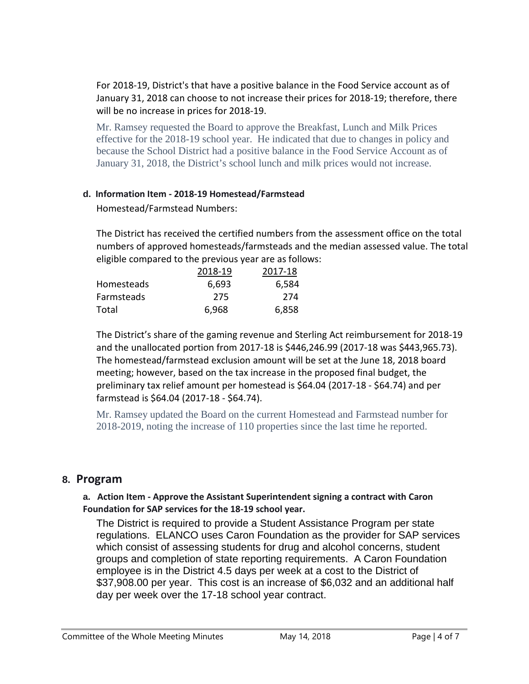For 2018-19, District's that have a positive balance in the Food Service account as of January 31, 2018 can choose to not increase their prices for 2018-19; therefore, there will be no increase in prices for 2018-19.

Mr. Ramsey requested the Board to approve the Breakfast, Lunch and Milk Prices effective for the 2018-19 school year. He indicated that due to changes in policy and because the School District had a positive balance in the Food Service Account as of January 31, 2018, the District's school lunch and milk prices would not increase.

## **d. Information Item - 2018-19 Homestead/Farmstead**

Homestead/Farmstead Numbers:

The District has received the certified numbers from the assessment office on the total numbers of approved homesteads/farmsteads and the median assessed value. The total eligible compared to the previous year are as follows:

|            | 2018-19 | 2017-18 |
|------------|---------|---------|
| Homesteads | 6,693   | 6,584   |
| Farmsteads | 275     | 274     |
| Total      | 6,968   | 6,858   |

The District's share of the gaming revenue and Sterling Act reimbursement for 2018-19 and the unallocated portion from 2017-18 is \$446,246.99 (2017-18 was \$443,965.73). The homestead/farmstead exclusion amount will be set at the June 18, 2018 board meeting; however, based on the tax increase in the proposed final budget, the preliminary tax relief amount per homestead is \$64.04 (2017-18 - \$64.74) and per farmstead is \$64.04 (2017-18 - \$64.74).

Mr. Ramsey updated the Board on the current Homestead and Farmstead number for 2018-2019, noting the increase of 110 properties since the last time he reported.

## **8. Program**

## **a. Action Item - Approve the Assistant Superintendent signing a contract with Caron Foundation for SAP services for the 18-19 school year.**

The District is required to provide a Student Assistance Program per state regulations. ELANCO uses Caron Foundation as the provider for SAP services which consist of assessing students for drug and alcohol concerns, student groups and completion of state reporting requirements. A Caron Foundation employee is in the District 4.5 days per week at a cost to the District of \$37,908.00 per year. This cost is an increase of \$6,032 and an additional half day per week over the 17-18 school year contract.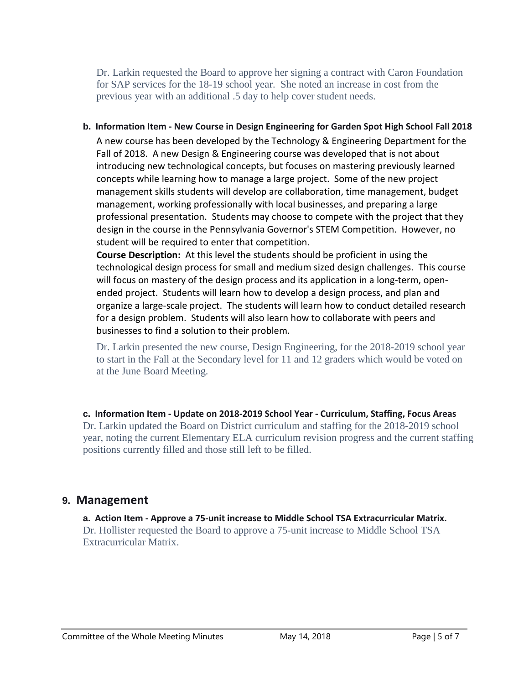Dr. Larkin requested the Board to approve her signing a contract with Caron Foundation for SAP services for the 18-19 school year. She noted an increase in cost from the previous year with an additional .5 day to help cover student needs.

#### **b. Information Item - New Course in Design Engineering for Garden Spot High School Fall 2018**

A new course has been developed by the Technology & Engineering Department for the Fall of 2018. A new Design & Engineering course was developed that is not about introducing new technological concepts, but focuses on mastering previously learned concepts while learning how to manage a large project. Some of the new project management skills students will develop are collaboration, time management, budget management, working professionally with local businesses, and preparing a large professional presentation. Students may choose to compete with the project that they design in the course in the Pennsylvania Governor's STEM Competition. However, no student will be required to enter that competition.

**Course Description:** At this level the students should be proficient in using the technological design process for small and medium sized design challenges. This course will focus on mastery of the design process and its application in a long-term, openended project. Students will learn how to develop a design process, and plan and organize a large-scale project. The students will learn how to conduct detailed research for a design problem. Students will also learn how to collaborate with peers and businesses to find a solution to their problem.

Dr. Larkin presented the new course, Design Engineering, for the 2018-2019 school year to start in the Fall at the Secondary level for 11 and 12 graders which would be voted on at the June Board Meeting.

**c. Information Item - Update on 2018-2019 School Year - Curriculum, Staffing, Focus Areas** Dr. Larkin updated the Board on District curriculum and staffing for the 2018-2019 school year, noting the current Elementary ELA curriculum revision progress and the current staffing positions currently filled and those still left to be filled.

## **9. Management**

**a. Action Item - Approve a 75-unit increase to Middle School TSA Extracurricular Matrix.** Dr. Hollister requested the Board to approve a 75-unit increase to Middle School TSA Extracurricular Matrix.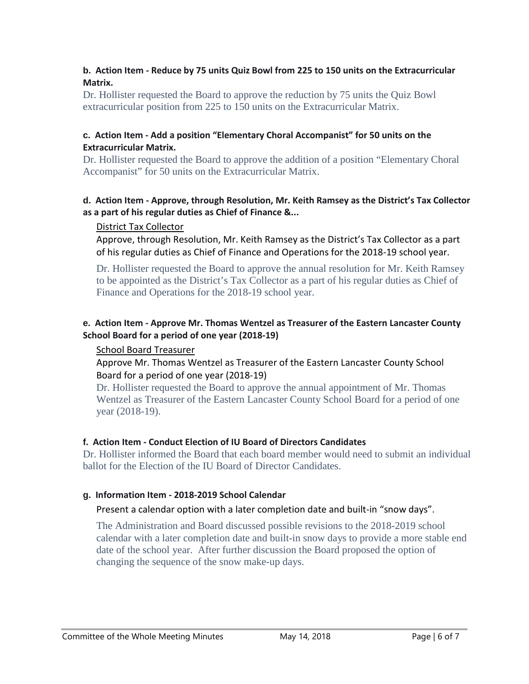### **b. Action Item - Reduce by 75 units Quiz Bowl from 225 to 150 units on the Extracurricular Matrix.**

Dr. Hollister requested the Board to approve the reduction by 75 units the Quiz Bowl extracurricular position from 225 to 150 units on the Extracurricular Matrix.

#### **c. Action Item - Add a position "Elementary Choral Accompanist" for 50 units on the Extracurricular Matrix.**

Dr. Hollister requested the Board to approve the addition of a position "Elementary Choral Accompanist" for 50 units on the Extracurricular Matrix.

#### **d. Action Item - Approve, through Resolution, Mr. Keith Ramsey as the District's Tax Collector as a part of his regular duties as Chief of Finance &...**

#### District Tax Collector

Approve, through Resolution, Mr. Keith Ramsey as the District's Tax Collector as a part of his regular duties as Chief of Finance and Operations for the 2018-19 school year.

Dr. Hollister requested the Board to approve the annual resolution for Mr. Keith Ramsey to be appointed as the District's Tax Collector as a part of his regular duties as Chief of Finance and Operations for the 2018-19 school year.

### **e. Action Item - Approve Mr. Thomas Wentzel as Treasurer of the Eastern Lancaster County School Board for a period of one year (2018-19)**

## School Board Treasurer

Approve Mr. Thomas Wentzel as Treasurer of the Eastern Lancaster County School Board for a period of one year (2018-19)

Dr. Hollister requested the Board to approve the annual appointment of Mr. Thomas Wentzel as Treasurer of the Eastern Lancaster County School Board for a period of one year (2018-19).

## **f. Action Item - Conduct Election of IU Board of Directors Candidates**

Dr. Hollister informed the Board that each board member would need to submit an individual ballot for the Election of the IU Board of Director Candidates.

#### **g. Information Item - 2018-2019 School Calendar**

#### Present a calendar option with a later completion date and built-in "snow days".

The Administration and Board discussed possible revisions to the 2018-2019 school calendar with a later completion date and built-in snow days to provide a more stable end date of the school year. After further discussion the Board proposed the option of changing the sequence of the snow make-up days.